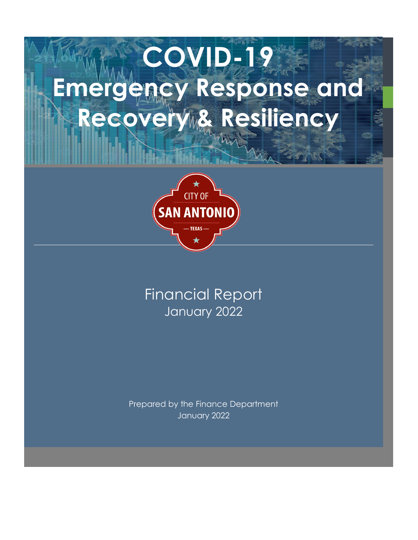# **COVID-19 Emergency Response and**  Recovery & Resiliency



# January 2022 Financial Report

Prepared by the Finance Department January 2022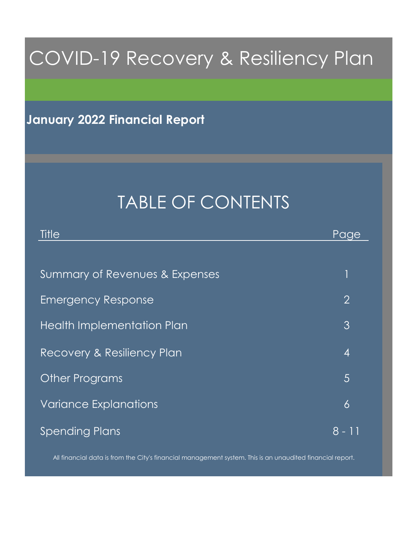# COVID-19 Recovery & Resiliency Plan

## **January 2022 Financial Report**

# TABLE OF CONTENTS

| Title                          | Page           |
|--------------------------------|----------------|
|                                |                |
| Summary of Revenues & Expenses |                |
| <b>Emergency Response</b>      | $\overline{2}$ |
| Health Implementation Plan     | 3              |
| Recovery & Resiliency Plan     | $\overline{4}$ |
| <b>Other Programs</b>          | 5              |
| <b>Variance Explanations</b>   | 6              |
| <b>Spending Plans</b>          | 8 - 11         |

All financial data is from the City's financial management system. This is an unaudited financial report.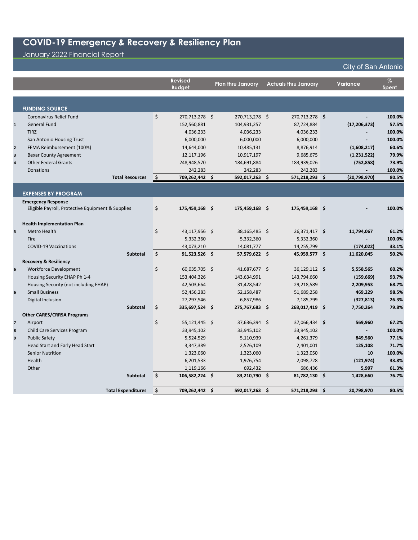## January 2022 Financial Report

|                |                                                                                |     | <b>Revised</b><br><b>Budget</b> | <b>Plan thru January</b> | <b>Actuals thru January</b> | <b>Variance</b>          | $\%$<br><b>Spent</b> |
|----------------|--------------------------------------------------------------------------------|-----|---------------------------------|--------------------------|-----------------------------|--------------------------|----------------------|
|                | <b>FUNDING SOURCE</b>                                                          |     |                                 |                          |                             |                          |                      |
|                | Coronavirus Relief Fund                                                        | \$  | 270,713,278 \$                  | 270,713,278 \$           | 270,713,278 \$              |                          | 100.0%               |
| $\mathbf{1}$   | <b>General Fund</b>                                                            |     | 152,560,881                     | 104,931,257              | 87,724,884                  | (17, 206, 373)           | 57.5%                |
|                | <b>TIRZ</b>                                                                    |     | 4,036,233                       | 4,036,233                | 4,036,233                   |                          | 100.0%               |
|                | San Antonio Housing Trust                                                      |     | 6,000,000                       | 6,000,000                | 6,000,000                   |                          | 100.0%               |
| $\overline{2}$ | FEMA Reimbursement (100%)                                                      |     | 14,644,000                      | 10,485,131               | 8,876,914                   | (1,608,217)              | 60.6%                |
| 3              | <b>Bexar County Agreement</b>                                                  |     | 12,117,196                      | 10,917,197               | 9,685,675                   | (1, 231, 522)            | 79.9%                |
| $\overline{a}$ | <b>Other Federal Grants</b>                                                    |     | 248,948,570                     | 184,691,884              | 183,939,026                 | (752, 858)               | 73.9%                |
|                | <b>Donations</b>                                                               |     | 242,283                         | 242,283                  | 242,283                     |                          | 100.0%               |
|                | <b>Total Resources</b>                                                         | -\$ | 709,262,442 \$                  | 592,017,263 \$           | 571,218,293 \$              | (20,798,970)             | 80.5%                |
|                |                                                                                |     |                                 |                          |                             |                          |                      |
|                | <b>EXPENSES BY PROGRAM</b>                                                     |     |                                 |                          |                             |                          |                      |
|                | <b>Emergency Response</b><br>Eligible Payroll, Protective Equipment & Supplies | \$  | 175,459,168 \$                  | 175,459,168 \$           | 175,459,168 \$              |                          | 100.0%               |
|                |                                                                                |     |                                 |                          |                             |                          |                      |
|                | <b>Health Implementation Plan</b>                                              |     |                                 |                          |                             |                          |                      |
| 5              | Metro Health                                                                   | \$  | 43,117,956 \$                   | 38,165,485 \$            | 26,371,417 \$               | 11,794,067               | 61.2%                |
|                | Fire                                                                           |     | 5,332,360                       | 5,332,360                | 5,332,360                   |                          | 100.0%               |
|                | <b>COVID-19 Vaccinations</b>                                                   |     | 43,073,210                      | 14,081,777               | 14,255,799                  | (174, 022)               | 33.1%                |
|                | <b>Subtotal</b>                                                                | \$  | $91,523,526$ \$                 | 57,579,622 \$            | 45,959,577 \$               | 11,620,045               | 50.2%                |
|                | <b>Recovery &amp; Resiliency</b>                                               |     |                                 |                          |                             |                          |                      |
| 6              | <b>Workforce Development</b>                                                   | \$  | 60,035,705 \$                   | 41,687,677 \$            | 36,129,112 \$               | 5,558,565                | 60.2%                |
|                | Housing Security EHAP Ph 1-4                                                   |     | 153,404,326                     | 143,634,991              | 143,794,660                 | (159, 669)               | 93.7%                |
|                | Housing Security (not including EHAP)                                          |     | 42,503,664                      | 31,428,542               | 29,218,589                  | 2,209,953                | 68.7%                |
| 6              | <b>Small Business</b>                                                          |     | 52,456,283                      | 52,158,487               | 51,689,258                  | 469,229                  | 98.5%                |
|                | Digital Inclusion                                                              |     | 27,297,546                      | 6,857,986                | 7,185,799                   | (327, 813)               | 26.3%                |
|                | Subtotal                                                                       | \$  | 335,697,524 \$                  | 275,767,683 \$           | 268,017,419 \$              | 7,750,264                | 79.8%                |
|                | <b>Other CARES/CRRSA Programs</b>                                              |     |                                 |                          |                             |                          |                      |
| $\overline{7}$ | Airport                                                                        | \$  | 55,121,445 \$                   | 37,636,394 \$            | 37,066,434 \$               | 569,960                  | 67.2%                |
| 8              | Child Care Services Program                                                    |     | 33,945,102                      | 33,945,102               | 33,945,102                  | $\overline{\phantom{0}}$ | 100.0%               |
| $\overline{9}$ | <b>Public Safety</b>                                                           |     | 5,524,529                       | 5,110,939                | 4,261,379                   | 849,560                  | 77.1%                |
|                | Head Start and Early Head Start                                                |     | 3,347,389                       | 2,526,109                | 2,401,001                   | 125,108                  | 71.7%                |
|                | <b>Senior Nutrition</b>                                                        |     | 1,323,060                       | 1,323,060                | 1,323,050                   | 10                       | 100.0%               |
|                | Health                                                                         |     | 6,201,533                       | 1,976,754                | 2,098,728                   | (121, 974)               | 33.8%                |
|                | Other                                                                          |     | 1,119,166                       | 692,432                  | 686,436                     | 5,997                    | 61.3%                |
|                | <b>Subtotal</b>                                                                | \$  | 106,582,224 \$                  | 83,210,790 \$            | 81,782,130 \$               | 1,428,660                | 76.7%                |
|                | <b>Total Expenditures</b>                                                      | Ŝ.  | 709,262,442 \$                  | 592,017,263 \$           | 571,218,293 \$              | 20,798,970               | 80.5%                |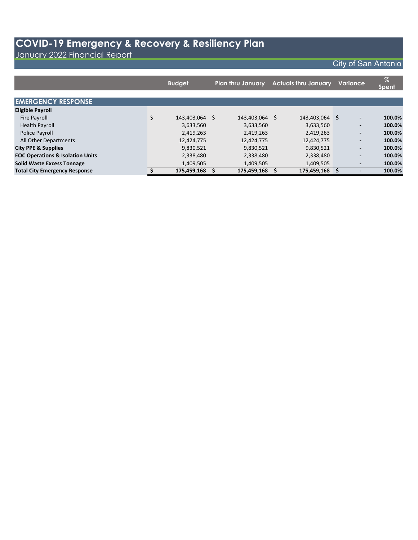January 2022 Financial Report

|                                             |    | <b>Budget</b><br><b>Plan thru January</b> |  | <b>Actuals thru January</b> |  |             | Variance | $\%$<br><b>Spent</b>     |        |
|---------------------------------------------|----|-------------------------------------------|--|-----------------------------|--|-------------|----------|--------------------------|--------|
|                                             |    |                                           |  |                             |  |             |          |                          |        |
| <b>EMERGENCY RESPONSE</b>                   |    |                                           |  |                             |  |             |          |                          |        |
| <b>Eligible Payroll</b>                     |    |                                           |  |                             |  |             |          |                          |        |
| <b>Fire Payroll</b>                         | \$ | 143,403,064 \$                            |  | 143,403,064 \$              |  | 143,403,064 | S        | $\overline{\phantom{a}}$ | 100.0% |
| <b>Health Payroll</b>                       |    | 3,633,560                                 |  | 3,633,560                   |  | 3,633,560   |          | $\overline{\phantom{a}}$ | 100.0% |
| Police Payroll                              |    | 2,419,263                                 |  | 2,419,263                   |  | 2,419,263   |          | $\overline{\phantom{a}}$ | 100.0% |
| All Other Departments                       |    | 12,424,775                                |  | 12,424,775                  |  | 12,424,775  |          | $\overline{\phantom{a}}$ | 100.0% |
| <b>City PPE &amp; Supplies</b>              |    | 9,830,521                                 |  | 9,830,521                   |  | 9,830,521   |          | $\overline{\phantom{a}}$ | 100.0% |
| <b>EOC Operations &amp; Isolation Units</b> |    | 2,338,480                                 |  | 2,338,480                   |  | 2,338,480   |          | $\overline{\phantom{a}}$ | 100.0% |
| <b>Solid Waste Excess Tonnage</b>           |    | 1,409,505                                 |  | 1,409,505                   |  | 1,409,505   |          |                          | 100.0% |
| <b>Total City Emergency Response</b>        | S  | 175,459,168 \$                            |  | 175,459,168                 |  | 175,459,168 | S        |                          | 100.0% |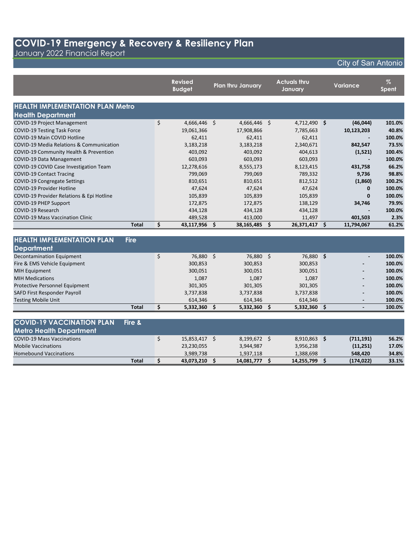January 2022 Financial Report

|                                                     | <b>Revised</b><br><b>Budget</b> | <b>Plan thru January</b> | <b>Actuals thru</b><br>January |     | <b>Variance</b> | $\%$<br>Spent |
|-----------------------------------------------------|---------------------------------|--------------------------|--------------------------------|-----|-----------------|---------------|
| <b>HEALTH IMPLEMENTATION PLAN Metro</b>             |                                 |                          |                                |     |                 |               |
| <b>Health Department</b>                            |                                 |                          |                                |     |                 |               |
| <b>COVID-19 Project Management</b>                  | \$<br>4,666,446 \$              | 4,666,446 \$             | 4,712,490 \$                   |     | (46, 044)       | 101.0%        |
| <b>COVID-19 Testing Task Force</b>                  | 19,061,366                      | 17,908,866               | 7,785,663                      |     | 10,123,203      | 40.8%         |
| <b>COVID-19 Main COVID Hotline</b>                  | 62,411                          | 62,411                   | 62,411                         |     |                 | 100.0%        |
| <b>COVID-19 Media Relations &amp; Communication</b> | 3,183,218                       | 3,183,218                | 2,340,671                      |     | 842,547         | 73.5%         |
| COVID-19 Community Health & Prevention              | 403,092                         | 403,092                  | 404,613                        |     | (1,521)         | 100.4%        |
| COVID-19 Data Management                            | 603,093                         | 603,093                  | 603,093                        |     |                 | 100.0%        |
| COVID-19 COVID Case Investigation Team              | 12,278,616                      | 8,555,173                | 8,123,415                      |     | 431,758         | 66.2%         |
| <b>COVID-19 Contact Tracing</b>                     | 799,069                         | 799,069                  | 789,332                        |     | 9,736           | 98.8%         |
| COVID-19 Congregate Settings                        | 810,651                         | 810,651                  | 812,512                        |     | (1,860)         | 100.2%        |
| <b>COVID-19 Provider Hotline</b>                    | 47,624                          | 47,624                   | 47,624                         |     | 0               | 100.0%        |
| COVID-19 Provider Relations & Epi Hotline           | 105,839                         | 105,839                  | 105,839                        |     | $\bf{0}$        | 100.0%        |
| <b>COVID-19 PHEP Support</b>                        | 172,875                         | 172,875                  | 138,129                        |     | 34,746          | 79.9%         |
| COVID-19 Research                                   | 434,128                         | 434,128                  | 434,128                        |     |                 | 100.0%        |
| <b>COVID-19 Mass Vaccination Clinic</b>             | 489,528                         | 413,000                  | 11,497                         |     | 401,503         | 2.3%          |
| <b>Total</b>                                        | \$<br>43,117,956 \$             | 38,165,485               | \$<br>26,371,417 \$            |     | 11,794,067      | 61.2%         |
| <b>HEALTH IMPLEMENTATION PLAN</b>                   |                                 |                          |                                |     |                 |               |
| <b>Fire</b>                                         |                                 |                          |                                |     |                 |               |
| <b>Department</b>                                   |                                 |                          |                                |     |                 |               |
| <b>Decontamination Equipment</b>                    | \$<br>76,880 \$                 | 76,880 \$                | 76,880 \$                      |     |                 | 100.0%        |
| Fire & EMS Vehicle Equipment                        | 300,853                         | 300,853                  | 300,853                        |     |                 | 100.0%        |
| <b>MIH Equipment</b>                                | 300,051                         | 300,051                  | 300,051                        |     |                 | 100.0%        |
| <b>MIH Medications</b>                              | 1,087                           | 1,087                    | 1,087                          |     |                 | 100.0%        |
| Protective Personnel Equipment                      | 301,305                         | 301,305                  | 301,305                        |     |                 | 100.0%        |
| SAFD First Responder Payroll                        | 3,737,838                       | 3,737,838                | 3,737,838                      |     |                 | 100.0%        |
| <b>Testing Mobile Unit</b>                          | 614,346                         | 614,346                  | 614,346                        |     |                 | 100.0%        |
| <b>Total</b>                                        | \$<br>5,332,360 \$              | 5,332,360                | \$<br>5,332,360                | ∣ Ś |                 | 100.0%        |

| <b>COVID-19 VACCINATION PLAN</b><br><b>Metro Health Department</b> | Fire &       |               |            |              |            |       |
|--------------------------------------------------------------------|--------------|---------------|------------|--------------|------------|-------|
| <b>COVID-19 Mass Vaccinations</b>                                  |              | 15,853,417 \$ | 8,199,672  | 8,910,863 \$ | (711, 191) | 56.2% |
| <b>Mobile Vaccinations</b>                                         |              | 23,230,055    | 3,944,987  | 3,956,238    | (11,251)   | 17.0% |
| Homebound Vaccinations                                             |              | 3.989.738     | 1,937,118  | 1.388.698    | 548.420    | 34.8% |
|                                                                    | <b>Total</b> | 43,073,210 \$ | 14,081,777 | 14,255,799   | (174, 022) | 33.1% |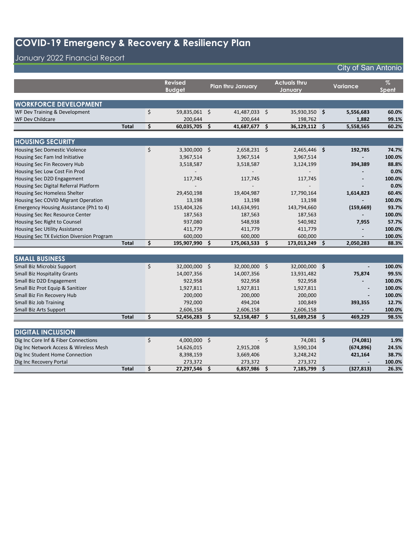## January 2022 Financial Report

|                                           |              | <b>Revised</b>      |     | <b>Plan thru January</b> |      | <b>Actuals thru</b> | <b>Variance</b>  | $\%$   |
|-------------------------------------------|--------------|---------------------|-----|--------------------------|------|---------------------|------------------|--------|
|                                           |              | <b>Budget</b>       |     |                          |      | Januarv             |                  | Spent  |
|                                           |              |                     |     |                          |      |                     |                  |        |
| <b>WORKFORCE DEVELOPMENT</b>              |              |                     |     |                          |      |                     |                  |        |
| WF Dev Training & Development             |              | \$<br>59,835,061 \$ |     | 41,487,033 \$            |      | 35,930,350 \$       | 5,556,683        | 60.0%  |
| WF Dev Childcare                          |              | 200,644             |     | 200,644                  |      | 198,762             | 1,882            | 99.1%  |
|                                           | <b>Total</b> | \$<br>60,035,705    | Ś   | 41,687,677               | \$   | 36,129,112 \$       | 5,558,565        | 60.2%  |
|                                           |              |                     |     |                          |      |                     |                  |        |
| <b>HOUSING SECURITY</b>                   |              |                     |     |                          |      |                     |                  |        |
| <b>Housing Sec Domestic Violence</b>      |              | \$<br>3,300,000 \$  |     | $2,658,231$ \$           |      | 2,465,446 \$        | 192,785          | 74.7%  |
| Housing Sec Fam Ind Initiative            |              | 3,967,514           |     | 3,967,514                |      | 3,967,514           |                  | 100.0% |
| Housing Sec Fin Recovery Hub              |              | 3,518,587           |     | 3,518,587                |      | 3,124,199           | 394,389          | 88.8%  |
| Housing Sec Low Cost Fin Prod             |              |                     |     |                          |      |                     |                  | 0.0%   |
| Housing Sec D2D Engagement                |              | 117,745             |     | 117,745                  |      | 117,745             |                  | 100.0% |
| Housing Sec Digital Referral Platform     |              |                     |     |                          |      |                     |                  | 0.0%   |
| Housing Sec Homeless Shelter              |              | 29,450,198          |     | 19,404,987               |      | 17,790,164          | 1,614,823        | 60.4%  |
| Housing Sec COVID Migrant Operation       |              | 13,198              |     | 13,198                   |      | 13,198              |                  | 100.0% |
| Emergency Housing Assistance (Ph1 to 4)   |              | 153,404,326         |     | 143,634,991              |      | 143,794,660         | (159, 669)       | 93.7%  |
| Housing Sec Rec Resource Center           |              | 187,563             |     | 187,563                  |      | 187,563             |                  | 100.0% |
| Housing Sec Right to Counsel              |              | 937,080             |     | 548,938                  |      | 540,982             | 7,955            | 57.7%  |
| <b>Housing Sec Utility Assistance</b>     |              | 411,779             |     | 411,779                  |      | 411,779             |                  | 100.0% |
| Housing Sec TX Eviction Diversion Program |              | 600,000             |     | 600,000                  |      | 600,000             |                  | 100.0% |
|                                           | <b>Total</b> | \$<br>195,907,990   | \$. | 175,063,533              | \$   | 173,013,249         | \$<br>2,050,283  | 88.3%  |
|                                           |              |                     |     |                          |      |                     |                  |        |
| <b>SMALL BUSINESS</b>                     |              |                     |     |                          |      |                     |                  |        |
| Small Biz Microbiz Support                |              | \$<br>32,000,000 \$ |     | 32,000,000 \$            |      | 32,000,000 \$       |                  | 100.0% |
| <b>Small Biz Hospitality Grants</b>       |              | 14,007,356          |     | 14,007,356               |      | 13,931,482          | 75,874           | 99.5%  |
| Small Biz D2D Engagement                  |              | 922,958             |     | 922,958                  |      | 922,958             |                  | 100.0% |
| Small Biz Prot Equip & Sanitizer          |              | 1,927,811           |     | 1,927,811                |      | 1,927,811           |                  | 100.0% |
| Small Biz Fin Recovery Hub                |              | 200,000             |     | 200,000                  |      | 200,000             |                  | 100.0% |
| Small Biz Job Training                    |              | 792,000             |     | 494,204                  |      | 100,849             | 393,355          | 12.7%  |
| Small Biz Arts Support                    |              | 2,606,158           |     | 2,606,158                |      | 2,606,158           |                  | 100.0% |
|                                           | <b>Total</b> | \$<br>52,456,283    | \$  | 52,158,487               | \$   | 51,689,258          | \$<br>469,229    | 98.5%  |
|                                           |              |                     |     |                          |      |                     |                  |        |
| <b>DIGITAL INCLUSION</b>                  |              |                     |     |                          |      |                     |                  |        |
| Dig Inc Core Inf & Fiber Connections      |              | \$<br>4,000,000 \$  |     |                          | $-5$ | 74,081 \$           | (74,081)         | 1.9%   |
| Dig Inc Network Access & Wireless Mesh    |              | 14,626,015          |     | 2,915,208                |      | 3,590,104           | (674, 896)       | 24.5%  |
| Dig Inc Student Home Connection           |              | 8,398,159           |     | 3,669,406                |      | 3,248,242           | 421,164          | 38.7%  |
| Dig Inc Recovery Portal                   |              | 273,372             |     | 273,372                  |      | 273,372             |                  | 100.0% |
|                                           | <b>Total</b> | \$<br>27,297,546    | \$  | 6,857,986                | \$   | 7,185,799           | \$<br>(327, 813) | 26.3%  |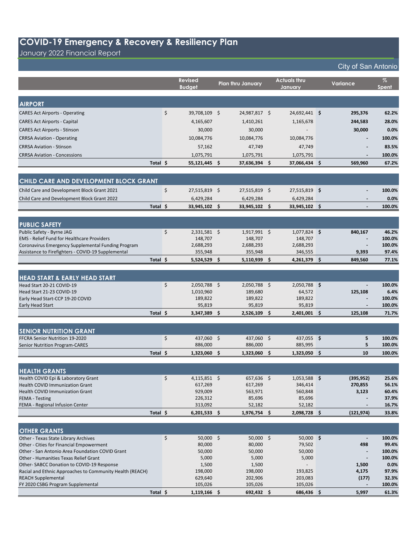January 2022 Financial Report

|                                                                                    |          | <b>Revised</b><br><b>Budget</b> |     | <b>Plan thru January</b> |      | <b>Actuals thru</b><br>January |     | Variance                          | $\%$<br><b>Spent</b> |
|------------------------------------------------------------------------------------|----------|---------------------------------|-----|--------------------------|------|--------------------------------|-----|-----------------------------------|----------------------|
|                                                                                    |          |                                 |     |                          |      |                                |     |                                   |                      |
| <b>AIRPORT</b>                                                                     |          |                                 |     |                          |      |                                |     |                                   |                      |
| <b>CARES Act Airports - Operating</b>                                              | \$       | 39,708,109 \$                   |     | 24,987,817 \$            |      | 24,692,441 \$                  |     | 295,376                           | 62.2%                |
| <b>CARES Act Airports - Capital</b>                                                |          | 4,165,607                       |     | 1,410,261                |      | 1,165,678                      |     | 244,583                           | 28.0%                |
| <b>CARES Act Airports - Stinson</b>                                                |          | 30,000                          |     | 30,000                   |      |                                |     | 30,000                            | 0.0%                 |
| <b>CRRSA Aviation - Operating</b>                                                  |          | 10,084,776                      |     | 10,084,776               |      | 10,084,776                     |     |                                   | 100.0%               |
| <b>CRRSA Aviation - Stinson</b>                                                    |          | 57,162                          |     | 47,749                   |      | 47,749                         |     |                                   | 83.5%                |
| <b>CRRSA Aviation - Concessions</b>                                                |          | 1,075,791                       |     | 1,075,791                |      | 1,075,791                      |     | $\overline{\phantom{a}}$          | 100.0%               |
|                                                                                    | Total \$ | 55,121,445 \$                   |     | 37,636,394 \$            |      | 37,066,434 \$                  |     | 569,960                           | 67.2%                |
|                                                                                    |          |                                 |     |                          |      |                                |     |                                   |                      |
| CHILD CARE AND DEVELOPMENT BLOCK GRANT                                             |          |                                 |     |                          |      |                                |     |                                   |                      |
| Child Care and Development Block Grant 2021                                        | \$       | 27,515,819 \$                   |     | 27,515,819 \$            |      | 27,515,819 \$                  |     |                                   | 100.0%               |
|                                                                                    |          |                                 |     |                          |      |                                |     |                                   | 0.0%                 |
| Child Care and Development Block Grant 2022                                        | Total \$ | 6,429,284                       |     | 6,429,284                |      | 6,429,284                      |     |                                   |                      |
|                                                                                    |          | 33,945,102 \$                   |     | 33,945,102 \$            |      | 33,945,102 \$                  |     |                                   | 100.0%               |
| <b>PUBLIC SAFETY</b>                                                               |          |                                 |     |                          |      |                                |     |                                   |                      |
| Public Safety - Byrne JAG                                                          | \$       | $2,331,581$ \$                  |     | $1,917,991$ \$           |      | $1,077,824$ \$                 |     | 840,167                           | 46.2%                |
| <b>EMS</b> - Relief Fund for Healthcare Providers                                  |          | 148,707                         |     | 148,707                  |      | 148,707                        |     |                                   | 100.0%               |
| Coronavirus Emergency Supplemental Funding Program                                 |          | 2,688,293                       |     | 2,688,293                |      | 2,688,293                      |     |                                   | 100.0%               |
| Assistance to Firefighters - COVID-19 Supplemental                                 |          | 355,948                         |     | 355,948                  |      | 346,555                        |     | 9,393                             | 97.4%                |
|                                                                                    | Total \$ | $5,524,529$ \$                  |     | $5,110,939$ \$           |      | 4,261,379 \$                   |     | 849,560                           | 77.1%                |
|                                                                                    |          |                                 |     |                          |      |                                |     |                                   |                      |
| <b>HEAD START &amp; EARLY HEAD START</b>                                           |          |                                 |     |                          |      |                                |     |                                   |                      |
| Head Start 20-21 COVID-19                                                          | \$       | $2,050,788$ \$                  |     | $2,050,788$ \$           |      | $2,050,788$ \$                 |     |                                   | 100.0%               |
| Head Start 21-23 COVID-19                                                          |          | 1,010,960                       |     | 189,680                  |      | 64,572                         |     | 125,108                           | 6.4%                 |
| Early Head Start-CCP 19-20 COVID<br><b>Early Head Start</b>                        |          | 189,822<br>95,819               |     | 189,822<br>95,819        |      | 189,822<br>95,819              |     |                                   | 100.0%<br>100.0%     |
|                                                                                    | Total \$ | 3,347,389                       | -\$ | 2,526,109                | - \$ | $2,401,001$ \$                 |     | 125,108                           | 71.7%                |
|                                                                                    |          |                                 |     |                          |      |                                |     |                                   |                      |
| <b>SENIOR NUTRITION GRANT</b>                                                      |          |                                 |     |                          |      |                                |     |                                   |                      |
| FFCRA Senior Nutrition 19-2020                                                     | \$       | 437,060 \$                      |     | 437,060 \$               |      | 437,055 \$                     |     | 5                                 | 100.0%               |
| <b>Senior Nutrition Program-CARES</b>                                              |          | 886,000                         |     | 886,000                  |      | 885,995                        |     | 5                                 | 100.0%               |
|                                                                                    | Total \$ | 1,323,060                       | -\$ | 1,323,060                | -\$  | 1,323,050                      | \$. | 10                                | 100.0%               |
|                                                                                    |          |                                 |     |                          |      |                                |     |                                   |                      |
| <b>HEALTH GRANTS</b>                                                               |          |                                 |     |                          |      |                                |     |                                   |                      |
| Health COVID Epi & Laboratory Grant<br>Health COVID Immunization Grant             | \$       | $4,115,851$ \$<br>617,269       |     | 657.636 \$<br>617,269    |      | $1,053,588$ \$<br>346,414      |     | (395, 952)<br>270,855             | 25.6%<br>56.1%       |
| Health COVID Immunization Grant                                                    |          | 929,009                         |     | 563,971                  |      | 560,848                        |     | 3,123                             | 60.4%                |
| <b>FEMA - Testing</b>                                                              |          | 226,312                         |     | 85,696                   |      | 85,696                         |     |                                   | 37.9%                |
| FEMA - Regional Infusion Center                                                    |          | 313,092                         |     | 52,182                   |      | 52,182                         |     |                                   | 16.7%                |
|                                                                                    | Total \$ | $6,201,533$ \$                  |     | 1,976,754 \$             |      | 2,098,728 \$                   |     | (121, 974)                        | 33.8%                |
|                                                                                    |          |                                 |     |                          |      |                                |     |                                   |                      |
| <b>OTHER GRANTS</b>                                                                |          |                                 |     |                          |      |                                |     |                                   |                      |
| Other - Texas State Library Archives                                               | \$       | 50,000 \$                       |     | $50,000$ \$              |      | $50,000$ \$                    |     | $\overline{\phantom{a}}$          | 100.0%               |
| Other - Cities for Financial Empowerment                                           |          | 80,000                          |     | 80,000                   |      | 79,502                         |     | 498                               | 99.4%                |
| Other - San Antonio Area Foundation COVID Grant                                    |          | 50,000                          |     | 50,000                   |      | 50,000                         |     |                                   | 100.0%               |
| Other - Humanities Texas Relief Grant<br>Other-SABCC Donation to COVID-19 Response |          | 5,000<br>1,500                  |     | 5,000<br>1,500           |      | 5,000                          |     | $\overline{\phantom{a}}$<br>1,500 | 100.0%<br>0.0%       |
| Racial and Ethnic Approaches to Community Health (REACH)                           |          | 198,000                         |     | 198,000                  |      | 193,825                        |     | 4,175                             | 97.9%                |
| <b>REACH Supplemental</b>                                                          |          | 629,640                         |     | 202,906                  |      | 203,083                        |     | (177)                             | 32.3%                |
| FY 2020 CSBG Program Supplemental                                                  |          | 105,026                         |     | 105,026                  |      | 105,026                        |     |                                   | 100.0%               |
|                                                                                    | Total \$ | $1,119,166$ \$                  |     | $692,432$ \$             |      | 686,436 \$                     |     | 5,997                             | 61.3%                |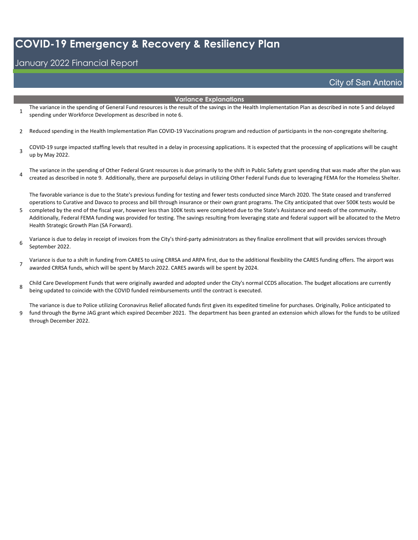#### January 2022 Financial Report

#### **Variance Explanations**

- 1 The variance in the spending of General Fund resources is the result of the savings in the Health Implementation Plan as described in note 5 and delayed spending under Workforce Development as described in note 6.
- 2 Reduced spending in the Health Implementation Plan COVID-19 Vaccinations program and reduction of participants in the non-congregate sheltering.
- 3 COVID-19 surge impacted staffing levels that resulted in a delay in processing applications. It is expected that the processing of applications will be caught up by May 2022.
- 4 The variance in the spending of Other Federal Grant resources is due primarily to the shift in Public Safety grant spending that was made after the plan was created as described in note 9. Additionally, there are purposeful delays in utilizing Other Federal Funds due to leveraging FEMA for the Homeless Shelter.

The favorable variance is due to the State's previous funding for testing and fewer tests conducted since March 2020. The State ceased and transferred operations to Curative and Davaco to process and bill through insurance or their own grant programs. The City anticipated that over 500K tests would be

- 5 completed by the end of the fiscal year, however less than 100K tests were completed due to the State's Assistance and needs of the community. Additionally, Federal FEMA funding was provided for testing. The savings resulting from leveraging state and federal support will be allocated to the Metro Health Strategic Growth Plan (SA Forward).
- 6 Variance is due to delay in receipt of invoices from the City's third-party administrators as they finalize enrollment that will provides services through September 2022.

7 Variance is due to a shift in funding from CARES to using CRRSA and ARPA first, due to the additional flexibility the CARES funding offers. The airport was awarded CRRSA funds, which will be spent by March 2022. CARES awards will be spent by 2024.

8 Child Care Development Funds that were originally awarded and adopted under the City's normal CCDS allocation. The budget allocations are currently being updated to coincide with the COVID funded reimbursements until the contract is executed.

9 The variance is due to Police utilizing Coronavirus Relief allocated funds first given its expedited timeline for purchases. Originally, Police anticipated to fund through the Byrne JAG grant which expired December 2021. The department has been granted an extension which allows for the funds to be utilized through December 2022.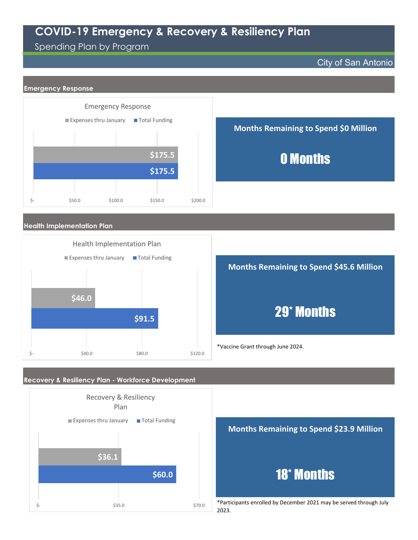#### Spending Plan by Program

 $\frac{1}{5}$ -  $\frac{1}{5}$ -  $\frac{1}{5}$ -  $\frac{1}{5}$ -  $\frac{1}{5}$ -  $\frac{1}{5}$ -  $\frac{1}{5}$ -  $\frac{1}{5}$ -  $\frac{1}{5}$ -  $\frac{1}{5}$ -  $\frac{1}{5}$ -  $\frac{1}{5}$ -  $\frac{1}{5}$ -  $\frac{1}{5}$ -  $\frac{1}{5}$ -  $\frac{1}{5}$ -  $\frac{1}{5}$ -  $\frac{1}{5}$ -  $\frac{1}{5}$ -  $\frac{1}{5}$ -

#### City of San Antonio



\*Participants enrolled by December 2021 may be served through July 2023.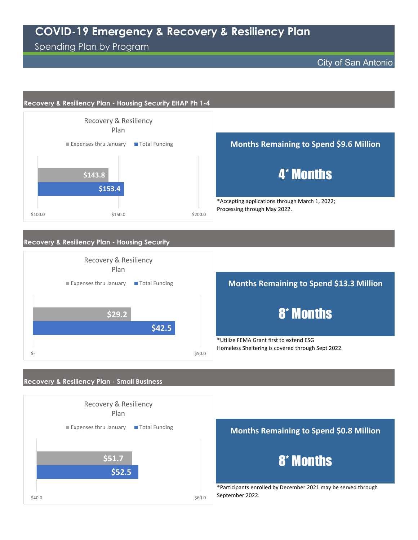### Spending Plan by Program

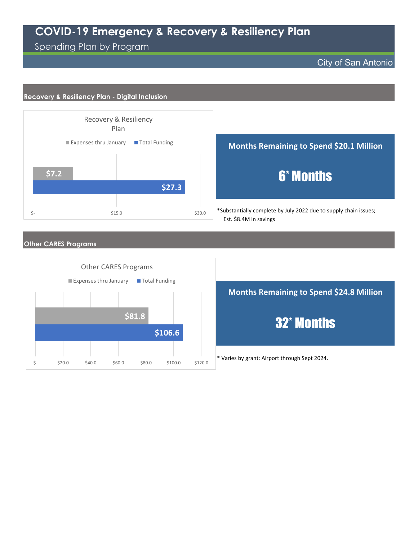Spending Plan by Program

#### City of San Antonio

#### **Recovery & Resiliency Plan - Digital Inclusion**



#### **Months Remaining to Spend \$20.1 Million**

# 6\* Months

\*Substantially complete by July 2022 due to supply chain issues; Est. \$8.4M in savings

#### **Other CARES Programs**

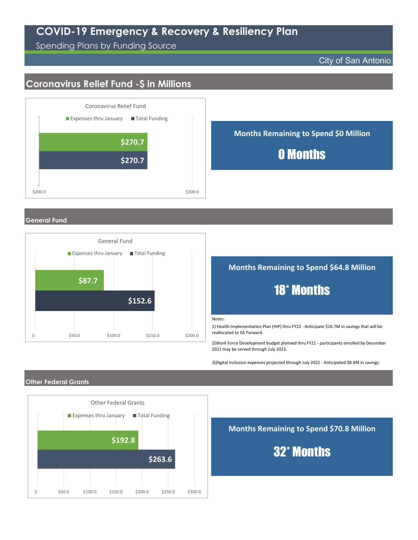Spending Plans by Funding Source

#### City of San Antonio

## **Coronavirus Relief Fund -\$ in Millions**



**Months Remaining to Spend \$0 Million**

## 0 Months

**General Fund**



#### **Months Remaining to Spend \$64.8 Million**



#### Notes:

1) Health Implementation Plan (HIP) thru FY22 - Anticipate \$16.7M in savings that will be reallocated to SA Forward.

2)Work Force Development budget planned thru FY21 - participants enrolled by December 2021 may be served through July 2023.

3)Digital Inclusion expenses projected through July 2022 - Anticipated \$8.4M in savings.

#### **Other Federal Grants**



**Months Remaining to Spend \$70.8 Million**

32\* Months